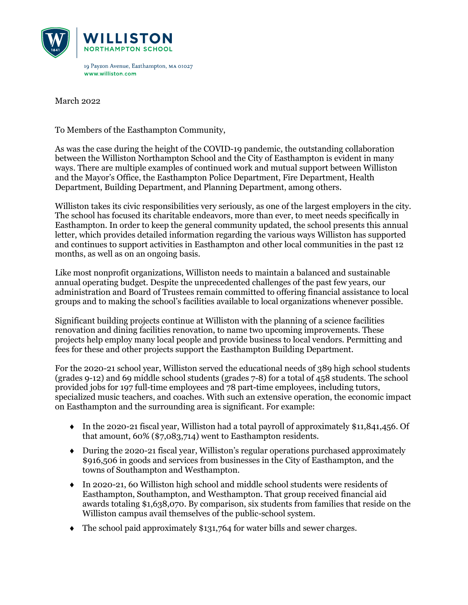

March 2022

To Members of the Easthampton Community,

As was the case during the height of the COVID-19 pandemic, the outstanding collaboration between the Williston Northampton School and the City of Easthampton is evident in many ways. There are multiple examples of continued work and mutual support between Williston and the Mayor's Office, the Easthampton Police Department, Fire Department, Health Department, Building Department, and Planning Department, among others.

Williston takes its civic responsibilities very seriously, as one of the largest employers in the city. The school has focused its charitable endeavors, more than ever, to meet needs specifically in Easthampton. In order to keep the general community updated, the school presents this annual letter, which provides detailed information regarding the various ways Williston has supported and continues to support activities in Easthampton and other local communities in the past 12 months, as well as on an ongoing basis.

Like most nonprofit organizations, Williston needs to maintain a balanced and sustainable annual operating budget. Despite the unprecedented challenges of the past few years, our administration and Board of Trustees remain committed to offering financial assistance to local groups and to making the school's facilities available to local organizations whenever possible.

Significant building projects continue at Williston with the planning of a science facilities renovation and dining facilities renovation, to name two upcoming improvements. These projects help employ many local people and provide business to local vendors. Permitting and fees for these and other projects support the Easthampton Building Department.

For the 2020-21 school year, Williston served the educational needs of 389 high school students (grades 9-12) and 69 middle school students (grades 7-8) for a total of 458 students. The school provided jobs for 197 full-time employees and 78 part-time employees, including tutors, specialized music teachers, and coaches. With such an extensive operation, the economic impact on Easthampton and the surrounding area is significant. For example:

- $\bullet$  In the 2020-21 fiscal year, Williston had a total payroll of approximately \$11,841,456. Of that amount, 60% (\$7,083,714) went to Easthampton residents.
- ♦ During the 2020-21 fiscal year, Williston's regular operations purchased approximately \$916,506 in goods and services from businesses in the City of Easthampton, and the towns of Southampton and Westhampton.
- ♦ In 2020-21, 60 Williston high school and middle school students were residents of Easthampton, Southampton, and Westhampton. That group received financial aid awards totaling \$1,638,070. By comparison, six students from families that reside on the Williston campus avail themselves of the public-school system.
- ♦ The school paid approximately \$131,764 for water bills and sewer charges.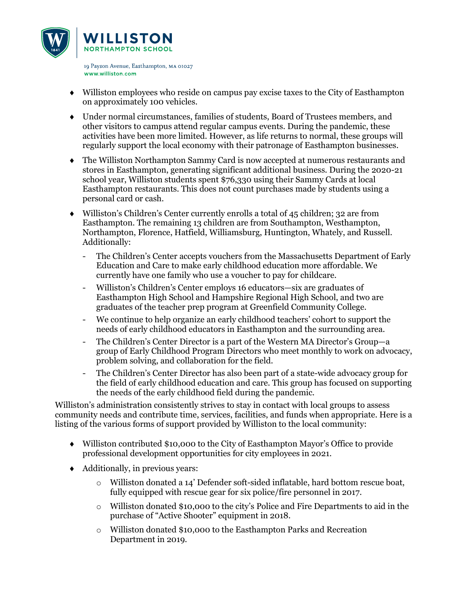

- ♦ Williston employees who reside on campus pay excise taxes to the City of Easthampton on approximately 100 vehicles.
- ♦ Under normal circumstances, families of students, Board of Trustees members, and other visitors to campus attend regular campus events. During the pandemic, these activities have been more limited. However, as life returns to normal, these groups will regularly support the local economy with their patronage of Easthampton businesses.
- ♦ The Williston Northampton Sammy Card is now accepted at numerous restaurants and stores in Easthampton, generating significant additional business. During the 2020-21 school year, Williston students spent \$76,330 using their Sammy Cards at local Easthampton restaurants. This does not count purchases made by students using a personal card or cash.
- $\bullet$  Williston's Children's Center currently enrolls a total of 45 children; 32 are from Easthampton. The remaining 13 children are from Southampton, Westhampton, Northampton, Florence, Hatfield, Williamsburg, Huntington, Whately, and Russell. Additionally:
	- The Children's Center accepts vouchers from the Massachusetts Department of Early Education and Care to make early childhood education more affordable. We currently have one family who use a voucher to pay for childcare.
	- Williston's Children's Center employs 16 educators—six are graduates of Easthampton High School and Hampshire Regional High School, and two are graduates of the teacher prep program at Greenfield Community College.
	- We continue to help organize an early childhood teachers' cohort to support the needs of early childhood educators in Easthampton and the surrounding area.
	- The Children's Center Director is a part of the Western MA Director's Group—a group of Early Childhood Program Directors who meet monthly to work on advocacy, problem solving, and collaboration for the field.
	- The Children's Center Director has also been part of a state-wide advocacy group for the field of early childhood education and care. This group has focused on supporting the needs of the early childhood field during the pandemic.

Williston's administration consistently strives to stay in contact with local groups to assess community needs and contribute time, services, facilities, and funds when appropriate. Here is a listing of the various forms of support provided by Williston to the local community:

- ♦ Williston contributed \$10,000 to the City of Easthampton Mayor's Office to provide professional development opportunities for city employees in 2021.
- ♦ Additionally, in previous years:
	- o Williston donated a 14' Defender soft-sided inflatable, hard bottom rescue boat, fully equipped with rescue gear for six police/fire personnel in 2017.
	- $\circ$  Williston donated \$10,000 to the city's Police and Fire Departments to aid in the purchase of "Active Shooter" equipment in 2018.
	- o Williston donated \$10,000 to the Easthampton Parks and Recreation Department in 2019.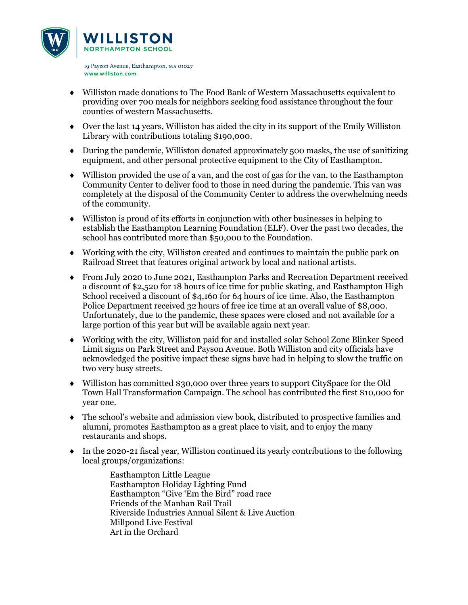

- ♦ Williston made donations to The Food Bank of Western Massachusetts equivalent to providing over 700 meals for neighbors seeking food assistance throughout the four counties of western Massachusetts.
- ♦ Over the last 14 years, Williston has aided the city in its support of the Emily Williston Library with contributions totaling \$190,000.
- ♦ During the pandemic, Williston donated approximately 500 masks, the use of sanitizing equipment, and other personal protective equipment to the City of Easthampton.
- ♦ Williston provided the use of a van, and the cost of gas for the van, to the Easthampton Community Center to deliver food to those in need during the pandemic. This van was completely at the disposal of the Community Center to address the overwhelming needs of the community.
- ♦ Williston is proud of its efforts in conjunction with other businesses in helping to establish the Easthampton Learning Foundation (ELF). Over the past two decades, the school has contributed more than \$50,000 to the Foundation.
- ♦ Working with the city, Williston created and continues to maintain the public park on Railroad Street that features original artwork by local and national artists.
- ♦ From July 2020 to June 2021, Easthampton Parks and Recreation Department received a discount of \$2,520 for 18 hours of ice time for public skating, and Easthampton High School received a discount of \$4,160 for 64 hours of ice time. Also, the Easthampton Police Department received 32 hours of free ice time at an overall value of \$8,000. Unfortunately, due to the pandemic, these spaces were closed and not available for a large portion of this year but will be available again next year.
- ♦ Working with the city, Williston paid for and installed solar School Zone Blinker Speed Limit signs on Park Street and Payson Avenue. Both Williston and city officials have acknowledged the positive impact these signs have had in helping to slow the traffic on two very busy streets.
- ♦ Williston has committed \$30,000 over three years to support CitySpace for the Old Town Hall Transformation Campaign. The school has contributed the first \$10,000 for year one.
- ♦ The school's website and admission view book, distributed to prospective families and alumni, promotes Easthampton as a great place to visit, and to enjoy the many restaurants and shops.
- ♦ In the 2020-21 fiscal year, Williston continued its yearly contributions to the following local groups/organizations:

Easthampton Little League Easthampton Holiday Lighting Fund Easthampton "Give 'Em the Bird" road race Friends of the Manhan Rail Trail Riverside Industries Annual Silent & Live Auction Millpond Live Festival Art in the Orchard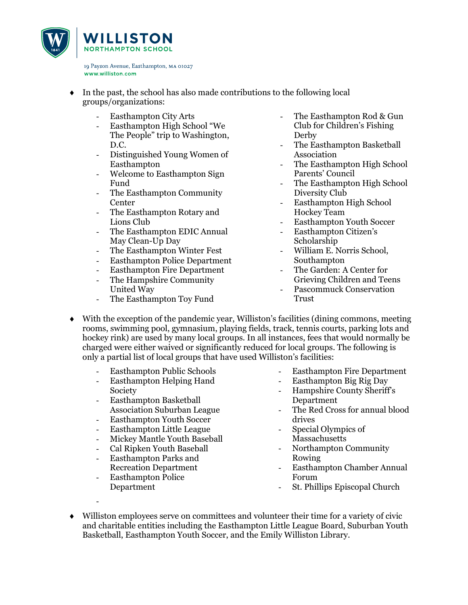

- In the past, the school has also made contributions to the following local groups/organizations:
	- Easthampton City Arts
	- Easthampton High School "We The People" trip to Washington, D.C.
	- Distinguished Young Women of Easthampton
	- Welcome to Easthampton Sign Fund
	- The Easthampton Community Center
	- The Easthampton Rotary and Lions Club
	- The Easthampton EDIC Annual May Clean-Up Day
	- The Easthampton Winter Fest
	- Easthampton Police Department
	- Easthampton Fire Department
	- The Hampshire Community United Way
	- The Easthampton Toy Fund
- The Easthampton Rod & Gun Club for Children's Fishing Derby
- The Easthampton Basketball Association
- The Easthampton High School Parents' Council
- The Easthampton High School Diversity Club
- Easthampton High School Hockey Team
- Easthampton Youth Soccer
- Easthampton Citizen's Scholarship
- William E. Norris School, Southampton
- The Garden: A Center for Grieving Children and Teens Pascommuck Conservation Trust
- ♦ With the exception of the pandemic year, Williston's facilities (dining commons, meeting rooms, swimming pool, gymnasium, playing fields, track, tennis courts, parking lots and hockey rink) are used by many local groups. In all instances, fees that would normally be charged were either waived or significantly reduced for local groups. The following is only a partial list of local groups that have used Williston's facilities:
	- Easthampton Public Schools
	- Easthampton Helping Hand Society
	- Easthampton Basketball Association Suburban League
	- Easthampton Youth Soccer
	- Easthampton Little League
	- Mickey Mantle Youth Baseball
	- Cal Ripken Youth Baseball
	- Easthampton Parks and Recreation Department
	- Easthampton Police Department

-

- Easthampton Fire Department
- Easthampton Big Rig Day
- Hampshire County Sheriff's Department
- The Red Cross for annual blood drives
- Special Olympics of Massachusetts
- Northampton Community Rowing
- Easthampton Chamber Annual Forum
- St. Phillips Episcopal Church
- ♦ Williston employees serve on committees and volunteer their time for a variety of civic and charitable entities including the Easthampton Little League Board, Suburban Youth Basketball, Easthampton Youth Soccer, and the Emily Williston Library.